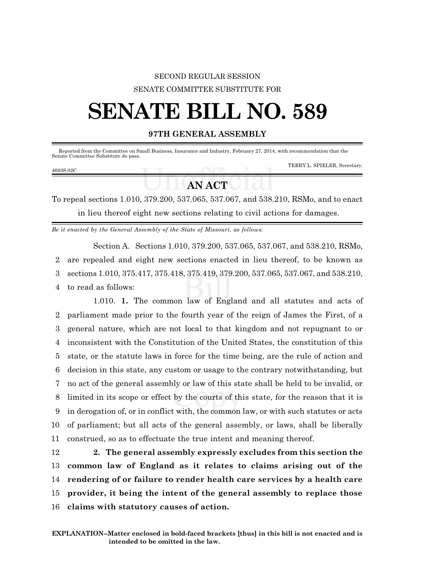### SECOND REGULAR SESSION SENATE COMMITTEE SUBSTITUTE FOR

# **SENATE BILL NO. 589**

#### **97TH GENERAL ASSEMBLY**

| Senate Committee Substitute do pass. |  | Reported from the Committee on Small Business, Insurance and Industry, February 27, 2014, with recommendation that the |
|--------------------------------------|--|------------------------------------------------------------------------------------------------------------------------|
| 4693S.02C                            |  | TERRY L. SPIELER, Secretary.                                                                                           |

## **AN ACT**

To repeal sections 1.010, 379.200, 537.065, 537.067, and 538.210, RSMo, and to enact in lieu thereof eight new sections relating to civil actions for damages.

*Be it enacted by the General Assembly of the State of Missouri, as follows:*

Section A. Sections 1.010, 379.200, 537.065, 537.067, and 538.210, RSMo, are repealed and eight new sections enacted in lieu thereof, to be known as sections 1.010, 375.417, 375.418, 375.419, 379.200, 537.065, 537.067, and 538.210, to read as follows:

1.010. **1.** The common law of England and all statutes and acts of parliament made prior to the fourth year of the reign of James the First, of a general nature, which are not local to that kingdom and not repugnant to or inconsistent with the Constitution of the United States, the constitution of this state, or the statute laws in force for the time being, are the rule of action and decision in this state, any custom or usage to the contrary notwithstanding, but no act of the general assembly or law of this state shall be held to be invalid, or limited in its scope or effect by the courts of this state, for the reason that it is in derogation of, or in conflict with, the common law, or with such statutes or acts of parliament; but all acts of the general assembly, or laws, shall be liberally construed, so as to effectuate the true intent and meaning thereof.

 **2. The general assembly expressly excludes from this section the common law of England as it relates to claims arising out of the rendering of or failure to render health care services by a health care provider, it being the intent of the general assembly to replace those claims with statutory causes of action.**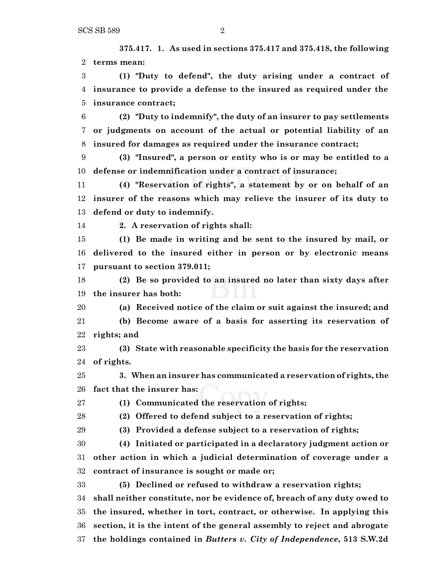**375.417. 1. As used in sections 375.417 and 375.418, the following terms mean:**

 **(1) "Duty to defend", the duty arising under a contract of insurance to provide a defense to the insured as required under the insurance contract;**

 **(2) "Duty to indemnify", the duty of an insurer to pay settlements or judgments on account of the actual or potential liability of an insured for damages as required under the insurance contract;**

 **(3) "Insured", a person or entity who is or may be entitled to a defense or indemnification under a contract of insurance;**

 **(4) "Reservation of rights", a statement by or on behalf of an insurer of the reasons which may relieve the insurer of its duty to defend or duty to indemnify.**

**2. A reservation of rights shall:**

 **(1) Be made in writing and be sent to the insured by mail, or delivered to the insured either in person or by electronic means pursuant to section 379.011;**

 **(2) Be so provided to an insured no later than sixty days after the insurer has both:**

**(a) Received notice of the claim or suit against the insured; and**

 **(b) Become aware of a basis for asserting its reservation of rights; and**

 **(3) State with reasonable specificity the basis for the reservation of rights.**

 **3. When an insurer has communicated a reservation of rights, the fact that the insurer has:**

**(1) Communicated the reservation of rights;**

**(2) Offered to defend subject to a reservation of rights;**

**(3) Provided a defense subject to a reservation of rights;**

 **(4) Initiated or participated in a declaratory judgment action or other action in which a judicial determination of coverage under a contract of insurance is sought or made or;**

 **(5) Declined or refused to withdraw a reservation rights; shall neither constitute, nor be evidence of, breach of any duty owed to the insured, whether in tort, contract, or otherwise. In applying this section, it is the intent of the general assembly to reject and abrogate the holdings contained in** *Butters v. City of Independence***, 513 S.W.2d**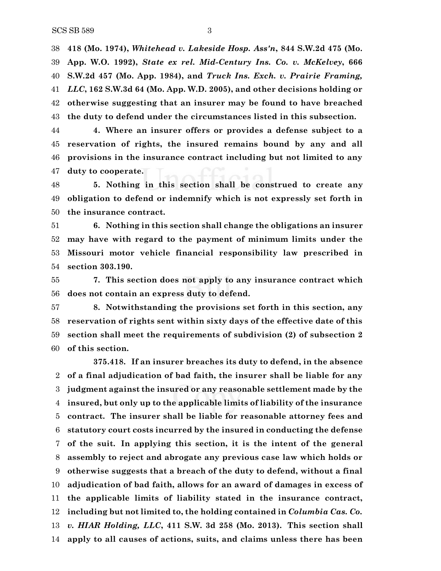**418 (Mo. 1974),** *Whitehead v. Lakeside Hosp. Ass'n***, 844 S.W.2d 475 (Mo. App. W.O. 1992),** *State ex rel. Mid-Century Ins. Co. v. McKelvey***, 666 S.W.2d 457 (Mo. App. 1984), and** *Truck Ins. Exch. v. Prairie Framing, LLC***, 162 S.W.3d 64 (Mo. App. W.D. 2005), and other decisions holding or otherwise suggesting that an insurer may be found to have breached the duty to defend under the circumstances listed in this subsection.**

 **4. Where an insurer offers or provides a defense subject to a reservation of rights, the insured remains bound by any and all provisions in the insurance contract including but not limited to any duty to cooperate.**

 **5. Nothing in this section shall be construed to create any obligation to defend or indemnify which is not expressly set forth in the insurance contract.**

 **6. Nothing in this section shall change the obligations an insurer may have with regard to the payment of minimum limits under the Missouri motor vehicle financial responsibility law prescribed in section 303.190.**

 **7. This section does not apply to any insurance contract which does not contain an express duty to defend.**

 **8. Notwithstanding the provisions set forth in this section, any reservation of rights sent within sixty days of the effective date of this section shall meet the requirements of subdivision (2) of subsection 2 of this section.**

**375.418. If an insurer breaches its duty to defend, in the absence of a final adjudication of bad faith, the insurer shall be liable for any judgment against the insured or any reasonable settlement made by the insured, but only up to the applicable limits of liability of the insurance contract. The insurer shall be liable for reasonable attorney fees and statutory court costs incurred by the insured in conducting the defense of the suit. In applying this section, it is the intent of the general assembly to reject and abrogate any previous case law which holds or otherwise suggests that a breach of the duty to defend, without a final adjudication of bad faith, allows for an award of damages in excess of the applicable limits of liability stated in the insurance contract, including but not limited to, the holding contained in** *Columbia Cas. Co. v. HIAR Holding, LLC***, 411 S.W. 3d 258 (Mo. 2013). This section shall apply to all causes of actions, suits, and claims unless there has been**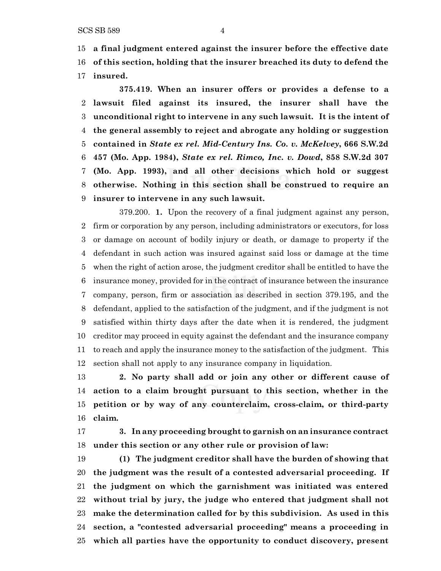**a final judgment entered against the insurer before the effective date of this section, holding that the insurer breached its duty to defend the insured.**

**375.419. When an insurer offers or provides a defense to a lawsuit filed against its insured, the insurer shall have the unconditional right to intervene in any such lawsuit. It is the intent of the general assembly to reject and abrogate any holding or suggestion contained in** *State ex rel. Mid-Century Ins. Co. v. McKelvey***, 666 S.W.2d 457 (Mo. App. 1984),** *State ex rel. Rimco, Inc. v. Dowd***, 858 S.W.2d 307 (Mo. App. 1993), and all other decisions which hold or suggest otherwise. Nothing in this section shall be construed to require an insurer to intervene in any such lawsuit.**

379.200. **1.** Upon the recovery of a final judgment against any person, firm or corporation by any person, including administrators or executors, for loss or damage on account of bodily injury or death, or damage to property if the defendant in such action was insured against said loss or damage at the time when the right of action arose, the judgment creditor shall be entitled to have the insurance money, provided for in the contract of insurance between the insurance company, person, firm or association as described in section 379.195, and the defendant, applied to the satisfaction of the judgment, and if the judgment is not satisfied within thirty days after the date when it is rendered, the judgment creditor may proceed in equity against the defendant and the insurance company to reach and apply the insurance money to the satisfaction of the judgment. This section shall not apply to any insurance company in liquidation.

 **2. No party shall add or join any other or different cause of action to a claim brought pursuant to this section, whether in the petition or by way of any counterclaim, cross-claim, or third-party claim.**

 **3. In any proceeding brought to garnish on an insurance contract under this section or any other rule or provision of law:**

 **(1) The judgment creditor shall have the burden of showing that the judgment was the result of a contested adversarial proceeding. If the judgment on which the garnishment was initiated was entered without trial by jury, the judge who entered that judgment shall not make the determination called for by this subdivision. As used in this section, a "contested adversarial proceeding" means a proceeding in which all parties have the opportunity to conduct discovery, present**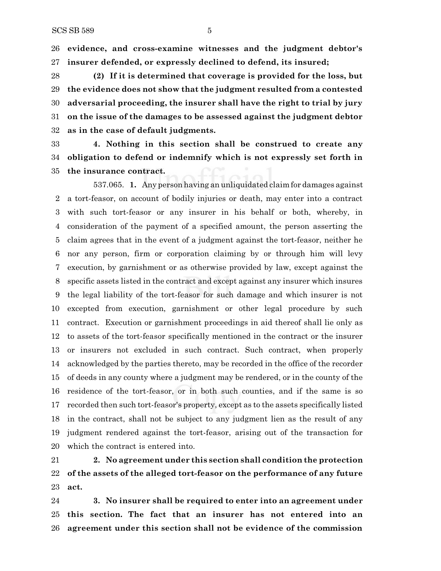**evidence, and cross-examine witnesses and the judgment debtor's insurer defended, or expressly declined to defend, its insured;**

 **(2) If it is determined that coverage is provided for the loss, but the evidence does not show that the judgment resulted from a contested adversarial proceeding, the insurer shall have the right to trial by jury on the issue of the damages to be assessed against the judgment debtor as in the case of default judgments.**

 **4. Nothing in this section shall be construed to create any obligation to defend or indemnify which is not expressly set forth in the insurance contract.**

537.065. **1.** Any person having an unliquidated claimfor damages against a tort-feasor, on account of bodily injuries or death, may enter into a contract with such tort-feasor or any insurer in his behalf or both, whereby, in consideration of the payment of a specified amount, the person asserting the claim agrees that in the event of a judgment against the tort-feasor, neither he nor any person, firm or corporation claiming by or through him will levy execution, by garnishment or as otherwise provided by law, except against the specific assets listed in the contract and except against any insurer which insures the legal liability of the tort-feasor for such damage and which insurer is not excepted from execution, garnishment or other legal procedure by such contract. Execution or garnishment proceedings in aid thereof shall lie only as to assets of the tort-feasor specifically mentioned in the contract or the insurer or insurers not excluded in such contract. Such contract, when properly acknowledged by the parties thereto, may be recorded in the office of the recorder of deeds in any county where a judgment may be rendered, or in the county of the residence of the tort-feasor, or in both such counties, and if the same is so recorded then such tort-feasor's property, except as to the assets specifically listed in the contract, shall not be subject to any judgment lien as the result of any judgment rendered against the tort-feasor, arising out of the transaction for which the contract is entered into.

 **2. No agreement under this section shall condition the protection of the assets of the alleged tort-feasor on the performance of any future act.**

 **3. No insurer shall be required to enter into an agreement under this section. The fact that an insurer has not entered into an agreement under this section shall not be evidence of the commission**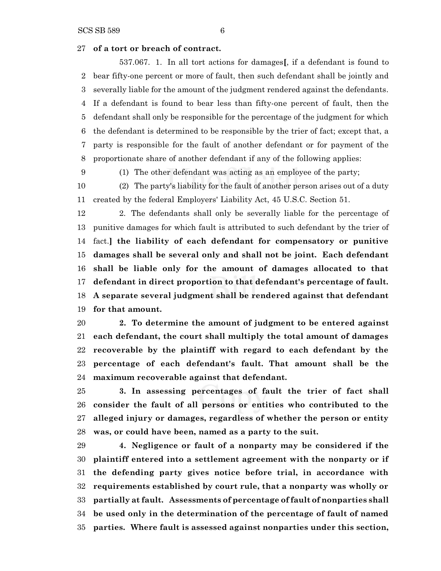#### **of a tort or breach of contract.**

537.067. 1. In all tort actions for damages**[**, if a defendant is found to bear fifty-one percent or more of fault, then such defendant shall be jointly and severally liable for the amount of the judgment rendered against the defendants. If a defendant is found to bear less than fifty-one percent of fault, then the defendant shall only be responsible for the percentage of the judgment for which the defendant is determined to be responsible by the trier of fact; except that, a party is responsible for the fault of another defendant or for payment of the proportionate share of another defendant if any of the following applies:

- 
- (1) The other defendant was acting as an employee of the party;

 (2) The party's liability for the fault of another person arises out of a duty created by the federal Employers' Liability Act, 45 U.S.C. Section 51.

 2. The defendants shall only be severally liable for the percentage of punitive damages for which fault is attributed to such defendant by the trier of fact.**] the liability of each defendant for compensatory or punitive damages shall be several only and shall not be joint. Each defendant shall be liable only for the amount of damages allocated to that defendant in direct proportion to that defendant's percentage of fault. A separate several judgment shall be rendered against that defendant for that amount.**

 **2. To determine the amount of judgment to be entered against each defendant, the court shall multiply the total amount of damages recoverable by the plaintiff with regard to each defendant by the percentage of each defendant's fault. That amount shall be the maximum recoverable against that defendant.**

 **3. In assessing percentages of fault the trier of fact shall consider the fault of all persons or entities who contributed to the alleged injury or damages, regardless of whether the person or entity was, or could have been, named as a party to the suit.**

 **4. Negligence or fault of a nonparty may be considered if the plaintiff entered into a settlement agreement with the nonparty or if the defending party gives notice before trial, in accordance with requirements established by court rule, that a nonparty was wholly or partially at fault. Assessments of percentage of fault of nonparties shall be used only in the determination of the percentage of fault of named parties. Where fault is assessed against nonparties under this section,**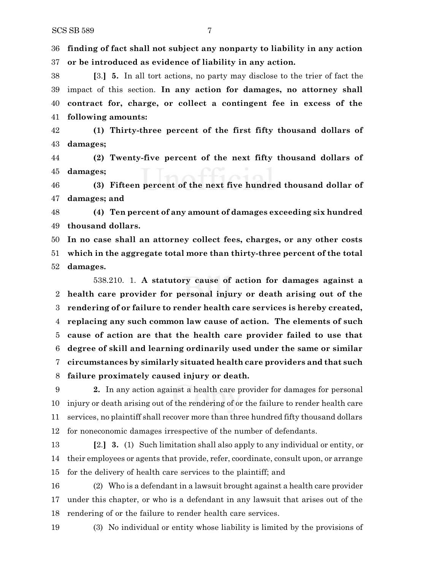**finding of fact shall not subject any nonparty to liability in any action or be introduced as evidence of liability in any action.**

 **[**3.**] 5.** In all tort actions, no party may disclose to the trier of fact the impact of this section. **In any action for damages, no attorney shall contract for, charge, or collect a contingent fee in excess of the following amounts:**

 **(1) Thirty-three percent of the first fifty thousand dollars of damages;**

 **(2) Twenty-five percent of the next fifty thousand dollars of damages;**

 **(3) Fifteen percent of the next five hundred thousand dollar of damages; and**

 **(4) Ten percent of any amount of damages exceeding six hundred thousand dollars.**

 **In no case shall an attorney collect fees, charges, or any other costs which in the aggregate total more than thirty-three percent of the total damages.**

538.210. 1. **A statutory cause of action for damages against a health care provider for personal injury or death arising out of the rendering of or failure to render health care services is hereby created, replacing any such common law cause of action. The elements of such cause of action are that the health care provider failed to use that degree of skill and learning ordinarily used under the same or similar circumstances by similarly situated health care providers and that such failure proximately caused injury or death.**

 **2.** In any action against a health care provider for damages for personal injury or death arising out of the rendering of or the failure to render health care services, no plaintiff shall recover more than three hundred fifty thousand dollars for noneconomic damages irrespective of the number of defendants.

 **[**2.**] 3.** (1) Such limitation shall also apply to any individual or entity, or their employees or agents that provide, refer, coordinate, consult upon, or arrange for the delivery of health care services to the plaintiff; and

 (2) Who is a defendant in a lawsuit brought against a health care provider under this chapter, or who is a defendant in any lawsuit that arises out of the rendering of or the failure to render health care services.

(3) No individual or entity whose liability is limited by the provisions of